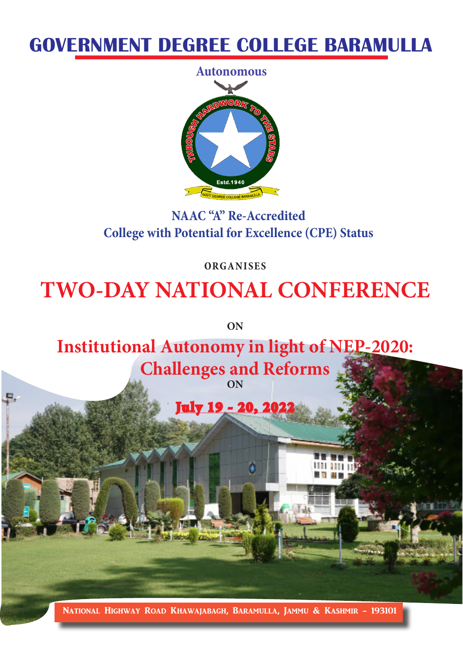# **GOVERNMENT DEGREE COLLEGE BARAMULLA**



## **NAAC "A" Re-Accredited College with Potential for Excellence (CPE) Status**

**ORGANISES**

# **TWO-DAY NATIONAL CONFERENCE**

**ON**

**Institutional Autonomy in light of NEP-2020:** 

**Challenges and Reforms ON**

July 19 - 20, 2022

National Highway Road Khawajabagh, Baramulla, Jammu & Kashmir - 193101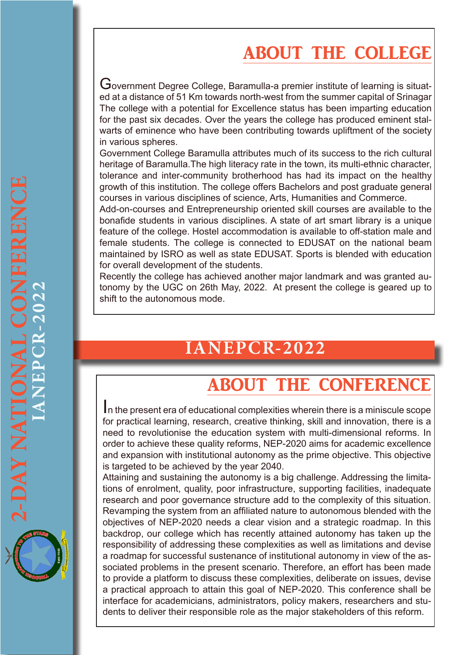# ABOUT THE COLLEGE

Government Degree College, Baramulla-a premier institute of learning is situated at a distance of 51 Km towards north-west from the summer capital of Srinagar The college with a potential for Excellence status has been imparting education for the past six decades. Over the years the college has produced eminent stalwarts of eminence who have been contributing towards upliftment of the society in various spheres.

Government College Baramulla attributes much of its success to the rich cultural heritage of Baramulla.The high literacy rate in the town, its multi-ethnic character, tolerance and inter-community brotherhood has had its impact on the healthy growth of this institution. The college offers Bachelors and post graduate general courses in various disciplines of science, Arts, Humanities and Commerce.

Add-on-courses and Entrepreneurship oriented skill courses are available to the bonafide students in various disciplines. A state of art smart library is a unique feature of the college. Hostel accommodation is available to off-station male and female students. The college is connected to EDUSAT on the national beam maintained by ISRO as well as state EDUSAT. Sports is blended with education for overall development of the students.

Recently the college has achieved another major landmark and was granted autonomy by the UGC on 26th May, 2022. At present the college is geared up to shift to the autonomous mode.

# **IANEPCR-2022**

# ABOUT THE CONFERENCE

In the present era of educational complexities wherein there is a miniscule scope for practical learning, research, creative thinking, skill and innovation, there is a need to revolutionise the education system with multi-dimensional reforms. In order to achieve these quality reforms, NEP-2020 aims for academic excellence and expansion with institutional autonomy as the prime objective. This objective is targeted to be achieved by the year 2040.

Attaining and sustaining the autonomy is a big challenge. Addressing the limitations of enrolment, quality, poor infrastructure, supporting facilities, inadequate research and poor governance structure add to the complexity of this situation. Revamping the system from an affiliated nature to autonomous blended with the objectives of NEP-2020 needs a clear vision and a strategic roadmap. In this backdrop, our college which has recently attained autonomy has taken up the responsibility of addressing these complexities as well as limitations and devise a roadmap for successful sustenance of institutional autonomy in view of the associated problems in the present scenario. Therefore, an effort has been made to provide a platform to discuss these complexities, deliberate on issues, devise a practical approach to attain this goal of NEP-2020. This conference shall be interface for academicians, administrators, policy makers, researchers and students to deliver their responsible role as the major stakeholders of this reform.

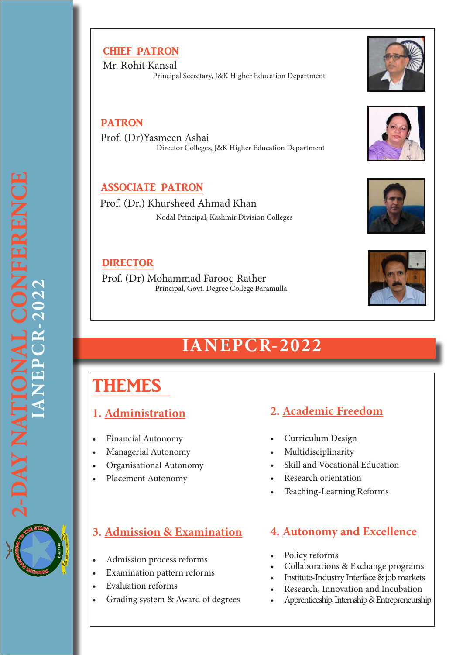### CHIEF PATRON

 Mr. Rohit Kansal Principal Secretary, J&K Higher Education Department

### PATRON

Prof. (Dr)Yasmeen Ashai Director Colleges, J&K Higher Education Department

### ASSOCIATE PATRON

Prof. (Dr.) Khursheed Ahmad Khan Nodal Principal, Kashmir Division Colleges

### **DIRECTOR**

 Prof. (Dr) Mohammad Farooq Rather Principal, Govt. Degree College Baramulla

# **IANEPCR-2022**

# THEMES

### **1. Administration**

- • Financial Autonomy
- • Managerial Autonomy
- • Organisational Autonomy
- Placement Autonomy

## **3. Admission & Examination**

- Admission process reforms
- • Examination pattern reforms
- **Evaluation reforms**
- Grading system & Award of degrees

### **2. Academic Freedom**

- Curriculum Design
- • Multidisciplinarity
- Skill and Vocational Education
- **Research orientation**
- Teaching-Learning Reforms

## **4. Autonomy and Excellence**

- Policy reforms
- Collaborations & Exchange programs
- Institute-Industry Interface & job markets
- Research, Innovation and Incubation
- Apprenticeship, Internship & Entrepreneurship